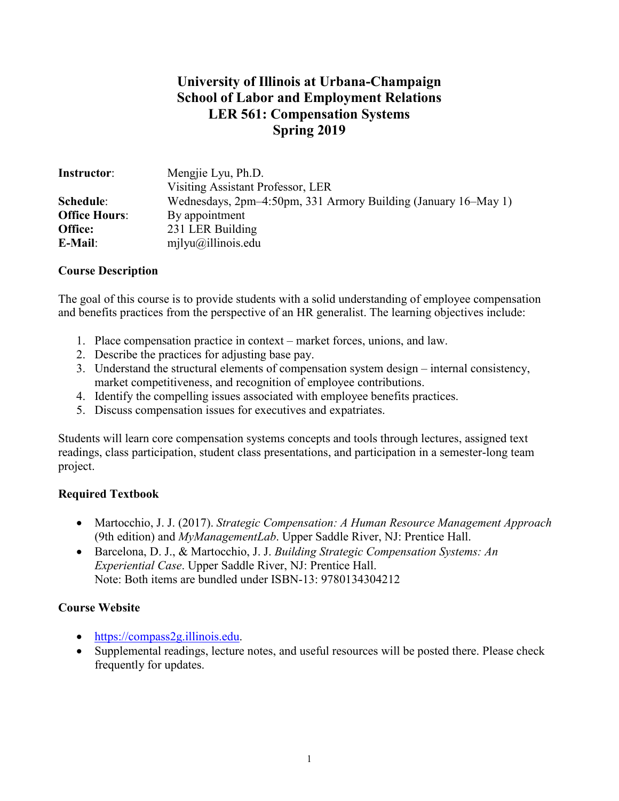# **University of Illinois at Urbana-Champaign School of Labor and Employment Relations LER 561: Compensation Systems Spring 2019**

| <b>Instructor:</b>   | Mengjie Lyu, Ph.D.                                             |  |
|----------------------|----------------------------------------------------------------|--|
|                      | Visiting Assistant Professor, LER                              |  |
| Schedule:            | Wednesdays, 2pm–4:50pm, 331 Armory Building (January 16–May 1) |  |
| <b>Office Hours:</b> | By appointment                                                 |  |
| Office:              | 231 LER Building                                               |  |
| E-Mail:              | $milyu(\omega)$ illinois.edu                                   |  |

### **Course Description**

The goal of this course is to provide students with a solid understanding of employee compensation and benefits practices from the perspective of an HR generalist. The learning objectives include:

- 1. Place compensation practice in context market forces, unions, and law.
- 2. Describe the practices for adjusting base pay.
- 3. Understand the structural elements of compensation system design internal consistency, market competitiveness, and recognition of employee contributions.
- 4. Identify the compelling issues associated with employee benefits practices.
- 5. Discuss compensation issues for executives and expatriates.

Students will learn core compensation systems concepts and tools through lectures, assigned text readings, class participation, student class presentations, and participation in a semester-long team project.

### **Required Textbook**

- Martocchio, J. J. (2017). *Strategic Compensation: A Human Resource Management Approach*  (9th edition) and *MyManagementLab*. Upper Saddle River, NJ: Prentice Hall.
- Barcelona, D. J., & Martocchio, J. J. *Building Strategic Compensation Systems: An Experiential Case*. Upper Saddle River, NJ: Prentice Hall. Note: Both items are bundled under ISBN-13: 9780134304212

### **Course Website**

- [https://compass2g.illinois.edu.](https://compass2g.illinois.edu/)
- Supplemental readings, lecture notes, and useful resources will be posted there. Please check frequently for updates.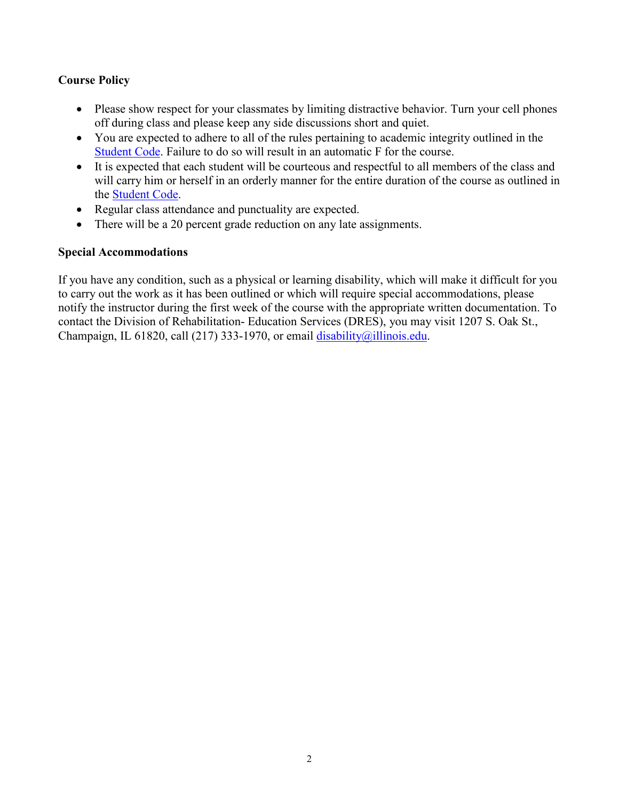### **Course Policy**

- Please show respect for your classmates by limiting distractive behavior. Turn your cell phones off during class and please keep any side discussions short and quiet.
- You are expected to adhere to all of the rules pertaining to academic integrity outlined in the [Student Code.](http://studentcode.illinois.edu/) Failure to do so will result in an automatic F for the course.
- It is expected that each student will be courteous and respectful to all members of the class and will carry him or herself in an orderly manner for the entire duration of the course as outlined in the [Student Code.](http://studentcode.illinois.edu/)
- Regular class attendance and punctuality are expected.
- There will be a 20 percent grade reduction on any late assignments.

### **Special Accommodations**

If you have any condition, such as a physical or learning disability, which will make it difficult for you to carry out the work as it has been outlined or which will require special accommodations, please notify the instructor during the first week of the course with the appropriate written documentation. To contact the Division of Rehabilitation- Education Services (DRES), you may visit 1207 S. Oak St., Champaign, IL 61820, call (217) 333-1970, or email [disability@illinois.edu.](mailto:disability@illinois.edu)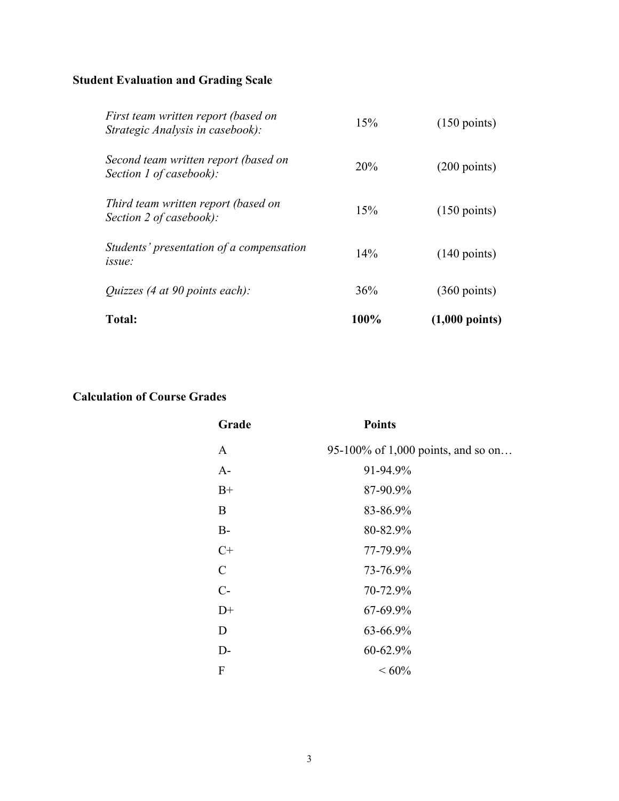# **Student Evaluation and Grading Scale**

| <b>Total:</b>                                                           | 100%   | $(1,000 \text{ points})$ |
|-------------------------------------------------------------------------|--------|--------------------------|
| <i>Quizzes</i> (4 at 90 points each):                                   | 36%    | $(360 \text{ points})$   |
| Students' presentation of a compensation<br>issue:                      | $14\%$ | $(140 \text{ points})$   |
| Third team written report (based on<br>Section 2 of casebook):          | 15%    | $(150 \text{ points})$   |
| Second team written report (based on<br>Section 1 of casebook):         | 20%    | $(200 \text{ points})$   |
| First team written report (based on<br>Strategic Analysis in casebook): | 15%    | $(150 \text{ points})$   |

# **Calculation of Course Grades**

| Grade        | <b>Points</b>                      |
|--------------|------------------------------------|
| $\mathbf{A}$ | 95-100% of 1,000 points, and so on |
| $A-$         | 91-94.9%                           |
| $B+$         | 87-90.9%                           |
| B            | 83-86.9%                           |
| $B-$         | 80-82.9%                           |
| $C+$         | 77-79.9%                           |
| $\mathsf{C}$ | 73-76.9%                           |
| $C-$         | 70-72.9%                           |
| $D+$         | 67-69.9%                           |
| D            | 63-66.9%                           |
| $D-$         | 60-62.9%                           |
| F            | ${}<60\%$                          |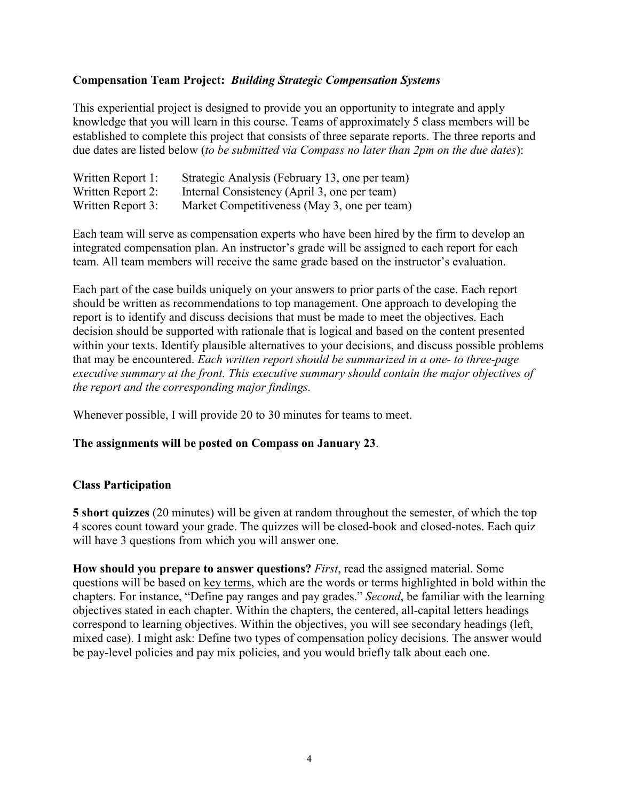### **Compensation Team Project:** *Building Strategic Compensation Systems*

This experiential project is designed to provide you an opportunity to integrate and apply knowledge that you will learn in this course. Teams of approximately 5 class members will be established to complete this project that consists of three separate reports. The three reports and due dates are listed below (*to be submitted via Compass no later than 2pm on the due dates*):

| Written Report 1: | Strategic Analysis (February 13, one per team) |
|-------------------|------------------------------------------------|
| Written Report 2: | Internal Consistency (April 3, one per team)   |
| Written Report 3: | Market Competitiveness (May 3, one per team)   |

Each team will serve as compensation experts who have been hired by the firm to develop an integrated compensation plan. An instructor's grade will be assigned to each report for each team. All team members will receive the same grade based on the instructor's evaluation.

Each part of the case builds uniquely on your answers to prior parts of the case. Each report should be written as recommendations to top management. One approach to developing the report is to identify and discuss decisions that must be made to meet the objectives. Each decision should be supported with rationale that is logical and based on the content presented within your texts. Identify plausible alternatives to your decisions, and discuss possible problems that may be encountered. *Each written report should be summarized in a one- to three-page executive summary at the front. This executive summary should contain the major objectives of the report and the corresponding major findings.*

Whenever possible, I will provide 20 to 30 minutes for teams to meet.

#### **The assignments will be posted on Compass on January 23**.

#### **Class Participation**

**5 short quizzes** (20 minutes) will be given at random throughout the semester, of which the top 4 scores count toward your grade. The quizzes will be closed-book and closed-notes. Each quiz will have 3 questions from which you will answer one.

**How should you prepare to answer questions?** *First*, read the assigned material. Some questions will be based on key terms, which are the words or terms highlighted in bold within the chapters. For instance, "Define pay ranges and pay grades." *Second*, be familiar with the learning objectives stated in each chapter. Within the chapters, the centered, all-capital letters headings correspond to learning objectives. Within the objectives, you will see secondary headings (left, mixed case). I might ask: Define two types of compensation policy decisions. The answer would be pay-level policies and pay mix policies, and you would briefly talk about each one.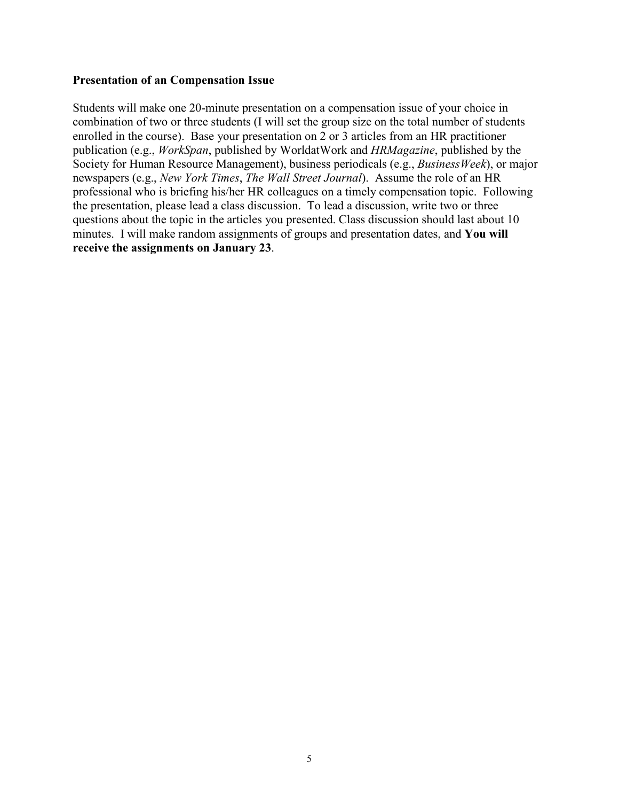#### **Presentation of an Compensation Issue**

Students will make one 20-minute presentation on a compensation issue of your choice in combination of two or three students (I will set the group size on the total number of students enrolled in the course). Base your presentation on 2 or 3 articles from an HR practitioner publication (e.g., *WorkSpan*, published by WorldatWork and *HRMagazine*, published by the Society for Human Resource Management), business periodicals (e.g., *BusinessWeek*), or major newspapers (e.g., *New York Times*, *The Wall Street Journal*). Assume the role of an HR professional who is briefing his/her HR colleagues on a timely compensation topic. Following the presentation, please lead a class discussion. To lead a discussion, write two or three questions about the topic in the articles you presented. Class discussion should last about 10 minutes. I will make random assignments of groups and presentation dates, and **You will receive the assignments on January 23**.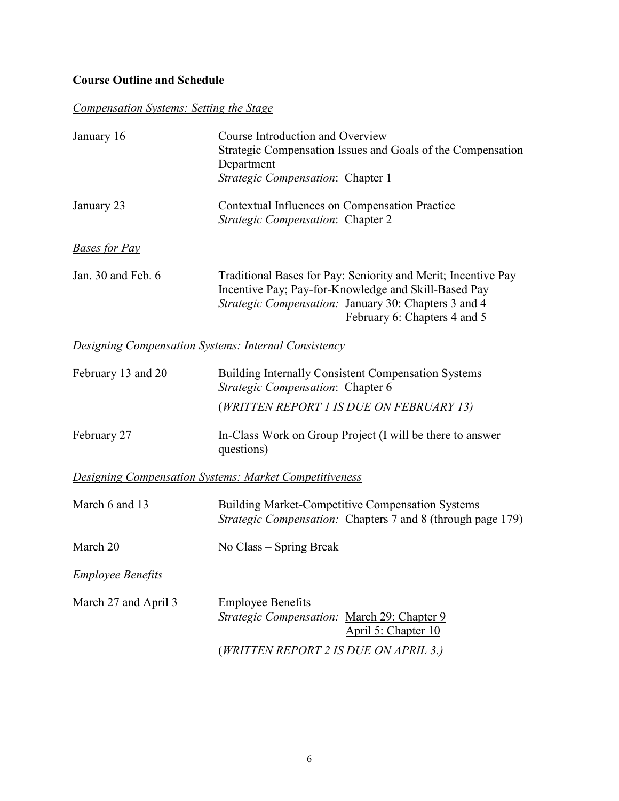## **Course Outline and Schedule**

# *Compensation Systems: Setting the Stage*

| January 16                                                  | Course Introduction and Overview<br>Strategic Compensation Issues and Goals of the Compensation<br>Department<br>Strategic Compensation: Chapter 1                                                            |
|-------------------------------------------------------------|---------------------------------------------------------------------------------------------------------------------------------------------------------------------------------------------------------------|
| January 23                                                  | Contextual Influences on Compensation Practice<br>Strategic Compensation: Chapter 2                                                                                                                           |
| <b>Bases for Pay</b>                                        |                                                                                                                                                                                                               |
| Jan. 30 and Feb. 6                                          | Traditional Bases for Pay: Seniority and Merit; Incentive Pay<br>Incentive Pay; Pay-for-Knowledge and Skill-Based Pay<br>Strategic Compensation: January 30: Chapters 3 and 4<br>February 6: Chapters 4 and 5 |
| <b>Designing Compensation Systems: Internal Consistency</b> |                                                                                                                                                                                                               |
| February 13 and 20                                          | Building Internally Consistent Compensation Systems<br>Strategic Compensation: Chapter 6                                                                                                                      |
|                                                             | (WRITTEN REPORT 1 IS DUE ON FEBRUARY 13)                                                                                                                                                                      |
| February 27                                                 | In-Class Work on Group Project (I will be there to answer<br>questions)                                                                                                                                       |
|                                                             | <b>Designing Compensation Systems: Market Competitiveness</b>                                                                                                                                                 |
| March 6 and 13                                              | Building Market-Competitive Compensation Systems<br>Strategic Compensation: Chapters 7 and 8 (through page 179)                                                                                               |
| March 20                                                    | No Class – Spring Break                                                                                                                                                                                       |
| <b>Employee Benefits</b>                                    |                                                                                                                                                                                                               |
| March 27 and April 3                                        | <b>Employee Benefits</b><br>Strategic Compensation: March 29: Chapter 9<br>April 5: Chapter 10                                                                                                                |
|                                                             | (WRITTEN REPORT 2 IS DUE ON APRIL 3.)                                                                                                                                                                         |